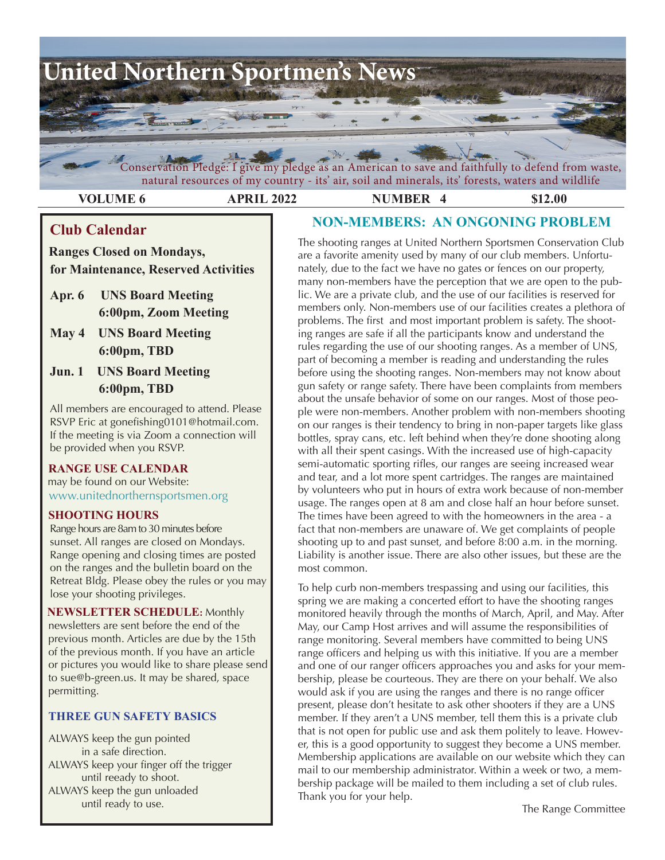

Conservation Pledge: I give my pledge as an American to save and faithfully to defend from waste, natural resources of my country - its' air, soil and minerals, its' forests, waters and wildlife

**VOLUME 6 APRIL 2022 NUMBER 4 \$12.00** 

# **Club Calendar**

 **Ranges Closed on Mondays, for Maintenance, Reserved Activities**

- **Apr. 6 UNS Board Meeting 6:00pm, Zoom Meeting**
- **May 4 UNS Board Meeting 6:00pm, TBD**
- **Jun. 1 UNS Board Meeting 6:00pm, TBD**

All members are encouraged to attend. Please RSVP Eric at gonefishing0101@hotmail.com. If the meeting is via Zoom a connection will be provided when you RSVP.

# **RANGE USE CALENDAR**

may be found on our Website: [www.unitednorthernsportsmen.or](http://www.unitednorthernsportsmen.org)g

## **SHOOTING HOURS**

 Range hours are 8am to 30 minutes before sunset. All ranges are closed on Mondays. Range opening and closing times are posted on the ranges and the bulletin board on the Retreat Bldg. Please obey the rules or you may lose your shooting privileges.

 **NEWSLETTER SCHEDULE:** Monthly newsletters are sent before the end of the previous month. Articles are due by the 15th of the previous month. If you have an article or pictures you would like to share please send to sue@b-green.us. It may be shared, space permitting.

# **THREE GUN SAFETY BASICS**

ALWAYS keep the gun pointed in a safe direction. ALWAYS keep your finger off the trigger until reeady to shoot. ALWAYS keep the gun unloaded until ready to use.

# **NON-MEMBERS: AN ONGONING PROBLEM**

The shooting ranges at United Northern Sportsmen Conservation Club are a favorite amenity used by many of our club members. Unfortunately, due to the fact we have no gates or fences on our property, many non-members have the perception that we are open to the public. We are a private club, and the use of our facilities is reserved for members only. Non-members use of our facilities creates a plethora of problems. The first and most important problem is safety. The shooting ranges are safe if all the participants know and understand the rules regarding the use of our shooting ranges. As a member of UNS, part of becoming a member is reading and understanding the rules before using the shooting ranges. Non-members may not know about gun safety or range safety. There have been complaints from members about the unsafe behavior of some on our ranges. Most of those people were non-members. Another problem with non-members shooting on our ranges is their tendency to bring in non-paper targets like glass bottles, spray cans, etc. left behind when they're done shooting along with all their spent casings. With the increased use of high-capacity semi-automatic sporting rifles, our ranges are seeing increased wear and tear, and a lot more spent cartridges. The ranges are maintained by volunteers who put in hours of extra work because of non-member usage. The ranges open at 8 am and close half an hour before sunset. The times have been agreed to with the homeowners in the area - a fact that non-members are unaware of. We get complaints of people shooting up to and past sunset, and before 8:00 a.m. in the morning. Liability is another issue. There are also other issues, but these are the most common.

To help curb non-members trespassing and using our facilities, this spring we are making a concerted effort to have the shooting ranges monitored heavily through the months of March, April, and May. After May, our Camp Host arrives and will assume the responsibilities of range monitoring. Several members have committed to being UNS range officers and helping us with this initiative. If you are a member and one of our ranger officers approaches you and asks for your membership, please be courteous. They are there on your behalf. We also would ask if you are using the ranges and there is no range officer present, please don't hesitate to ask other shooters if they are a UNS member. If they aren't a UNS member, tell them this is a private club that is not open for public use and ask them politely to leave. However, this is a good opportunity to suggest they become a UNS member. Membership applications are available on our website which they can mail to our membership administrator. Within a week or two, a membership package will be mailed to them including a set of club rules. Thank you for your help.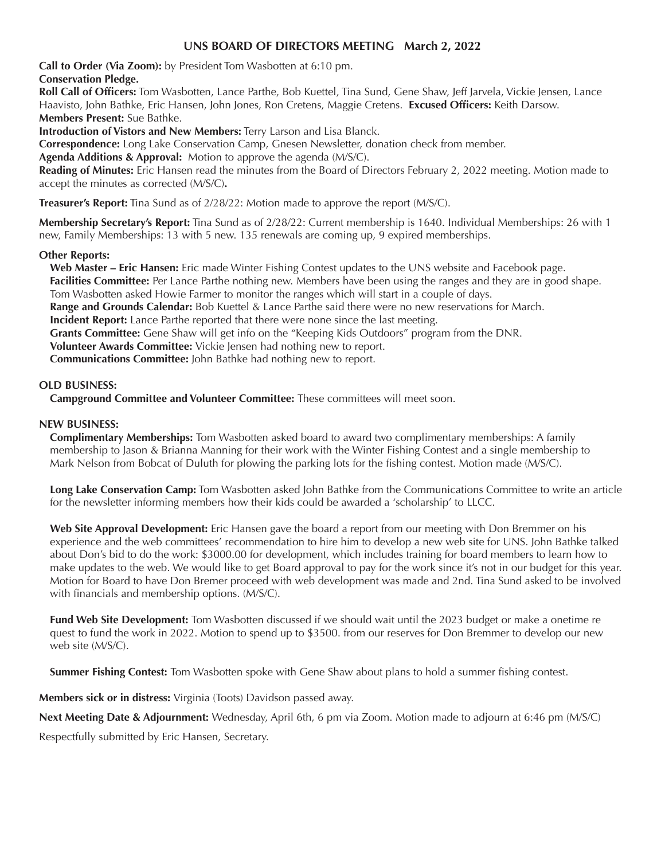## **UNS BOARD OF DIRECTORS MEETING March 2, 2022**

 **Conservation Pledge. Call to Order (Via Zoom):** by President Tom Wasbotten at 6:10 pm.

**Roll Call of Officers:** Tom Wasbotten, Lance Parthe, Bob Kuettel, Tina Sund, Gene Shaw, Jeff Jarvela, Vickie Jensen, Lance Haavisto, John Bathke, Eric Hansen, John Jones, Ron Cretens, Maggie Cretens. **Excused Officers:** Keith Darsow. **Members Present:** Sue Bathke.

**Introduction of Vistors and New Members:** Terry Larson and Lisa Blanck.

**Correspondence:** Long Lake Conservation Camp, Gnesen Newsletter, donation check from member.

**Agenda Additions & Approval:** Motion to approve the agenda (M/S/C).

**Reading of Minutes:** Eric Hansen read the minutes from the Board of Directors February 2, 2022 meeting. Motion made to accept the minutes as corrected (M/S/C)**.**

**Treasurer's Report:** Tina Sund as of 2/28/22: Motion made to approve the report (M/S/C).

**Membership Secretary's Report:** Tina Sund as of 2/28/22: Current membership is 1640. Individual Memberships: 26 with 1 new, Family Memberships: 13 with 5 new. 135 renewals are coming up, 9 expired memberships.

#### **Other Reports:**

**Web Master – Eric Hansen:** Eric made Winter Fishing Contest updates to the UNS website and Facebook page. **Facilities Committee:** Per Lance Parthe nothing new. Members have been using the ranges and they are in good shape. Tom Wasbotten asked Howie Farmer to monitor the ranges which will start in a couple of days. **Range and Grounds Calendar:** Bob Kuettel & Lance Parthe said there were no new reservations for March.

**Incident Report:** Lance Parthe reported that there were none since the last meeting.

**Grants Committee:** Gene Shaw will get info on the "Keeping Kids Outdoors" program from the DNR.

**Volunteer Awards Committee:** Vickie Jensen had nothing new to report.

**Communications Committee:** John Bathke had nothing new to report.

### **OLD BUSINESS:**

**Campground Committee and Volunteer Committee:** These committees will meet soon.

#### **NEW BUSINESS:**

**Complimentary Memberships:** Tom Wasbotten asked board to award two complimentary memberships: A family membership to Jason & Brianna Manning for their work with the Winter Fishing Contest and a single membership to Mark Nelson from Bobcat of Duluth for plowing the parking lots for the fishing contest. Motion made (M/S/C).

**Long Lake Conservation Camp:** Tom Wasbotten asked John Bathke from the Communications Committee to write an article for the newsletter informing members how their kids could be awarded a 'scholarship' to LLCC.

**Web Site Approval Development:** Eric Hansen gave the board a report from our meeting with Don Bremmer on his experience and the web committees' recommendation to hire him to develop a new web site for UNS. John Bathke talked about Don's bid to do the work: \$3000.00 for development, which includes training for board members to learn how to make updates to the web. We would like to get Board approval to pay for the work since it's not in our budget for this year. Motion for Board to have Don Bremer proceed with web development was made and 2nd. Tina Sund asked to be involved with financials and membership options. (M/S/C). 

**Fund Web Site Development:** Tom Wasbotten discussed if we should wait until the 2023 budget or make a onetime re quest to fund the work in 2022. Motion to spend up to \$3500. from our reserves for Don Bremmer to develop our new web site (M/S/C).

**Summer Fishing Contest:** Tom Wasbotten spoke with Gene Shaw about plans to hold a summer fishing contest.

**Members sick or in distress:** Virginia (Toots) Davidson passed away.

**Next Meeting Date & Adjournment:** Wednesday, April 6th, 6 pm via Zoom. Motion made to adjourn at 6:46 pm (M/S/C)

Respectfully submitted by Eric Hansen, Secretary.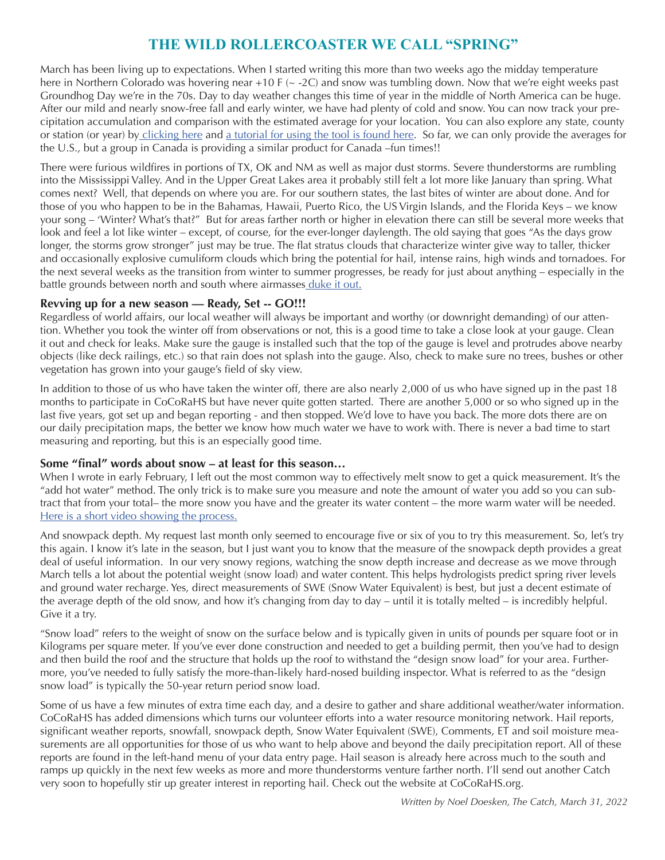# **THE WILD ROLLERCOASTER WE CALL "SPRING"**

March has been living up to expectations. When I started writing this more than two weeks ago the midday temperature here in Northern Colorado was hovering near  $+10$  F ( $\sim$  -2C) and snow was tumbling down. Now that we're eight weeks past Groundhog Day we're in the 70s. Day to day weather changes this time of year in the middle of North America can be huge. After our mild and nearly snow-free fall and early winter, we have had plenty of cold and snow. You can now track your precipitation accumulation and comparison with the estimated average for your location. You can also explore any state, county or station (or year) by [clicking](https://wys.cocorahs.org/) here and a [tutorial](https://wys.cocorahs.org/help) for using the tool is found here. So far, we can only provide the averages for the U.S., but a group in Canada is providing a similar product for Canada –fun times!!

There were furious wildfires in portions of TX, OK and NM as well as major dust storms. Severe thunderstorms are rumbling into the Mississippi Valley. And in the Upper Great Lakes area it probably still felt a lot more like January than spring. What comes next? Well, that depends on where you are. For our southern states, the last bites of winter are about done. And for those of you who happen to be in the Bahamas, Hawaii, Puerto Rico, the US Virgin Islands, and the Florida Keys – we know your song – 'Winter? What's that?" But for areas farther north or higher in elevation there can still be several more weeks that look and feel a lot like winter – except, of course, for the ever-longer daylength. The old saying that goes "As the days grow longer, the storms grow stronger" just may be true. The flat stratus clouds that characterize winter give way to taller, thicker and occasionally explosive cumuliform clouds which bring the potential for hail, intense rains, high winds and tornadoes. For the next several weeks as the transition from winter to summer progresses, be ready for just about anything – especially in the battle grounds between north and south where airmasses [duke](https://www.youtube.com/watch?v=Qq970c97FBQ) it out.

## **Revving up for a new season — Ready, Set -- GO!!!**

Regardless of world affairs, our local weather will always be important and worthy (or downright demanding) of our attention. Whether you took the winter off from observations or not, this is a good time to take a close look at your gauge. Clean it out and check for leaks. Make sure the gauge is installed such that the top of the gauge is level and protrudes above nearby objects (like deck railings, etc.) so that rain does not splash into the gauge. Also, check to make sure no trees, bushes or other vegetation has grown into your gauge's field of sky view.

In addition to those of us who have taken the winter off, there are also nearly 2,000 of us who have signed up in the past 18 months to participate in CoCoRaHS but have never quite gotten started. There are another 5,000 or so who signed up in the last five years, got set up and began reporting - and then stopped. We'd love to have you back. The more dots there are on our daily precipitation maps, the better we know how much water we have to work with. There is never a bad time to start measuring and reporting, but this is an especially good time.

## **Some "final" words about snow – at least for this season…**

When I wrote in early February, I left out the most common way to effectively melt snow to get a quick measurement. It's the "add hot water" method. The only trick is to make sure you measure and note the amount of water you add so you can subtract that from your total– the more snow you have and the greater its water content – the more warm water will be needed. Here is a short video [showing](https://www.youtube.com/watch?v=C_fZrorSy0M) the process.

And snowpack depth. My request last month only seemed to encourage five or six of you to try this measurement. So, let's try this again. I know it's late in the season, but I just want you to know that the measure of the snowpack depth provides a great deal of useful information. In our very snowy regions, watching the snow depth increase and decrease as we move through March tells a lot about the potential weight (snow load) and water content. This helps hydrologists predict spring river levels and ground water recharge. Yes, direct measurements of SWE (Snow Water Equivalent) is best, but just a decent estimate of the average depth of the old snow, and how it's changing from day to day – until it is totally melted – is incredibly helpful. Give it a try.

"Snow load" refers to the weight of snow on the surface below and is typically given in units of pounds per square foot or in Kilograms per square meter. If you've ever done construction and needed to get a building permit, then you've had to design and then build the roof and the structure that holds up the roof to withstand the "design snow load" for your area. Furthermore, you've needed to fully satisfy the more-than-likely hard-nosed building inspector. What is referred to as the "design snow load" is typically the 50-year return period snow load.

Some of us have a few minutes of extra time each day, and a desire to gather and share additional weather/water information. CoCoRaHS has added dimensions which turns our volunteer efforts into a water resource monitoring network. Hail reports, significant weather reports, snowfall, snowpack depth, Snow Water Equivalent (SWE), Comments, ET and soil moisture measurements are all opportunities for those of us who want to help above and beyond the daily precipitation report. All of these reports are found in the left-hand menu of your data entry page. Hail season is already here across much to the south and ramps up quickly in the next few weeks as more and more thunderstorms venture farther north. I'll send out another Catch very soon to hopefully stir up greater interest in reporting hail. Check out the website at CoCoRaHS.org.